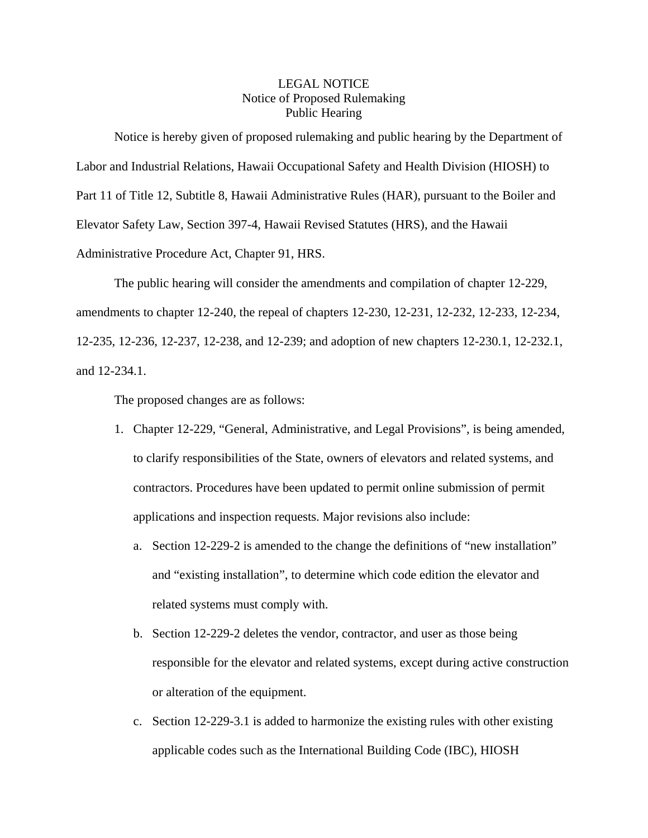## LEGAL NOTICE Notice of Proposed Rulemaking Public Hearing

Notice is hereby given of proposed rulemaking and public hearing by the Department of Labor and Industrial Relations, Hawaii Occupational Safety and Health Division (HIOSH) to Part 11 of Title 12, Subtitle 8, Hawaii Administrative Rules (HAR), pursuant to the Boiler and Elevator Safety Law, Section 397-4, Hawaii Revised Statutes (HRS), and the Hawaii Administrative Procedure Act, Chapter 91, HRS.

The public hearing will consider the amendments and compilation of chapter 12-229, amendments to chapter 12-240, the repeal of chapters 12-230, 12-231, 12-232, 12-233, 12-234, 12-235, 12-236, 12-237, 12-238, and 12-239; and adoption of new chapters 12-230.1, 12-232.1, and 12-234.1.

The proposed changes are as follows:

- 1. Chapter 12-229, "General, Administrative, and Legal Provisions", is being amended, to clarify responsibilities of the State, owners of elevators and related systems, and contractors. Procedures have been updated to permit online submission of permit applications and inspection requests. Major revisions also include:
	- a. Section 12-229-2 is amended to the change the definitions of "new installation" and "existing installation", to determine which code edition the elevator and related systems must comply with.
	- b. Section 12-229-2 deletes the vendor, contractor, and user as those being responsible for the elevator and related systems, except during active construction or alteration of the equipment.
	- c. Section 12-229-3.1 is added to harmonize the existing rules with other existing applicable codes such as the International Building Code (IBC), HIOSH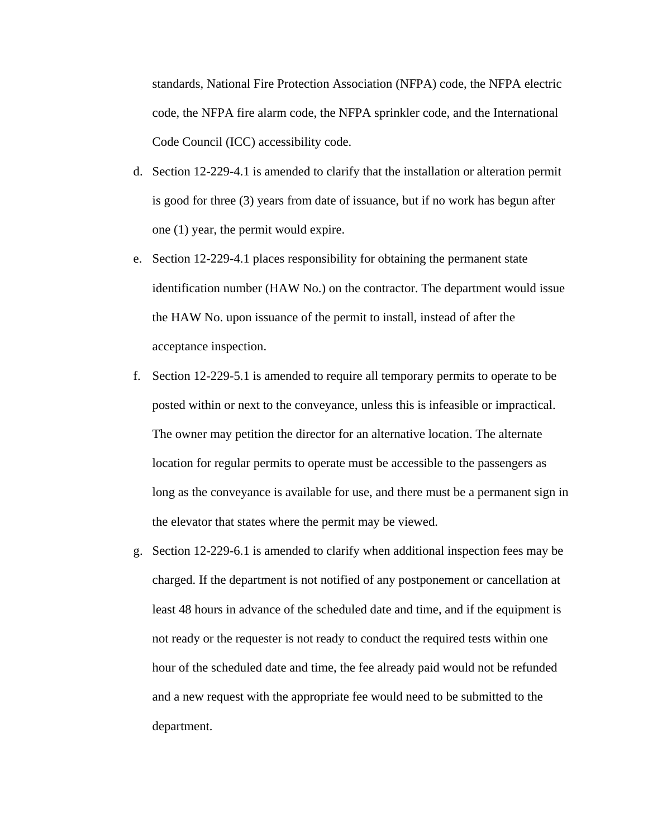standards, National Fire Protection Association (NFPA) code, the NFPA electric code, the NFPA fire alarm code, the NFPA sprinkler code, and the International Code Council (ICC) accessibility code.

- d. Section 12-229-4.1 is amended to clarify that the installation or alteration permit is good for three (3) years from date of issuance, but if no work has begun after one (1) year, the permit would expire.
- e. Section 12-229-4.1 places responsibility for obtaining the permanent state identification number (HAW No.) on the contractor. The department would issue the HAW No. upon issuance of the permit to install, instead of after the acceptance inspection.
- f. Section 12-229-5.1 is amended to require all temporary permits to operate to be posted within or next to the conveyance, unless this is infeasible or impractical. The owner may petition the director for an alternative location. The alternate location for regular permits to operate must be accessible to the passengers as long as the conveyance is available for use, and there must be a permanent sign in the elevator that states where the permit may be viewed.
- g. Section 12-229-6.1 is amended to clarify when additional inspection fees may be charged. If the department is not notified of any postponement or cancellation at least 48 hours in advance of the scheduled date and time, and if the equipment is not ready or the requester is not ready to conduct the required tests within one hour of the scheduled date and time, the fee already paid would not be refunded and a new request with the appropriate fee would need to be submitted to the department.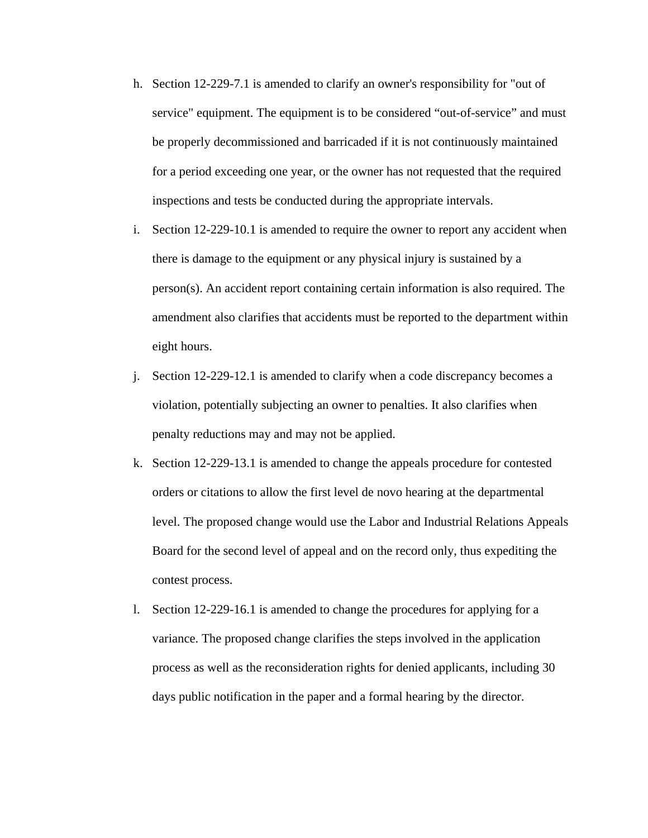- h. Section 12-229-7.1 is amended to clarify an owner's responsibility for "out of service" equipment. The equipment is to be considered "out-of-service" and must be properly decommissioned and barricaded if it is not continuously maintained for a period exceeding one year, or the owner has not requested that the required inspections and tests be conducted during the appropriate intervals.
- i. Section 12-229-10.1 is amended to require the owner to report any accident when there is damage to the equipment or any physical injury is sustained by a person(s). An accident report containing certain information is also required. The amendment also clarifies that accidents must be reported to the department within eight hours.
- j. Section 12-229-12.1 is amended to clarify when a code discrepancy becomes a violation, potentially subjecting an owner to penalties. It also clarifies when penalty reductions may and may not be applied.
- k. Section 12-229-13.1 is amended to change the appeals procedure for contested orders or citations to allow the first level de novo hearing at the departmental level. The proposed change would use the Labor and Industrial Relations Appeals Board for the second level of appeal and on the record only, thus expediting the contest process.
- l. Section 12-229-16.1 is amended to change the procedures for applying for a variance. The proposed change clarifies the steps involved in the application process as well as the reconsideration rights for denied applicants, including 30 days public notification in the paper and a formal hearing by the director.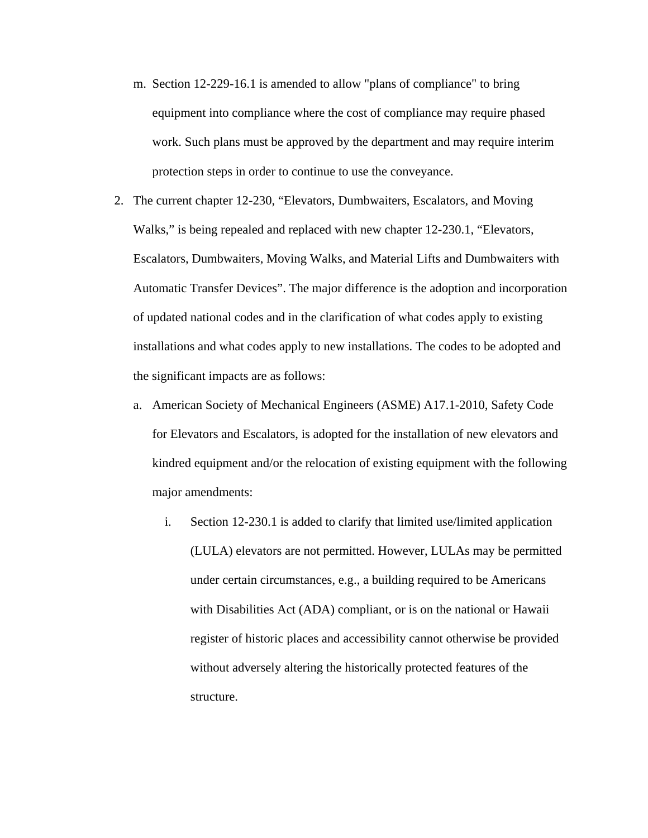- m. Section 12-229-16.1 is amended to allow "plans of compliance" to bring equipment into compliance where the cost of compliance may require phased work. Such plans must be approved by the department and may require interim protection steps in order to continue to use the conveyance.
- 2. The current chapter 12-230, "Elevators, Dumbwaiters, Escalators, and Moving Walks," is being repealed and replaced with new chapter 12-230.1, "Elevators, Escalators, Dumbwaiters, Moving Walks, and Material Lifts and Dumbwaiters with Automatic Transfer Devices". The major difference is the adoption and incorporation of updated national codes and in the clarification of what codes apply to existing installations and what codes apply to new installations. The codes to be adopted and the significant impacts are as follows:
	- a. American Society of Mechanical Engineers (ASME) A17.1-2010, Safety Code for Elevators and Escalators, is adopted for the installation of new elevators and kindred equipment and/or the relocation of existing equipment with the following major amendments:
		- i. Section 12-230.1 is added to clarify that limited use/limited application (LULA) elevators are not permitted. However, LULAs may be permitted under certain circumstances, e.g., a building required to be Americans with Disabilities Act (ADA) compliant, or is on the national or Hawaii register of historic places and accessibility cannot otherwise be provided without adversely altering the historically protected features of the structure.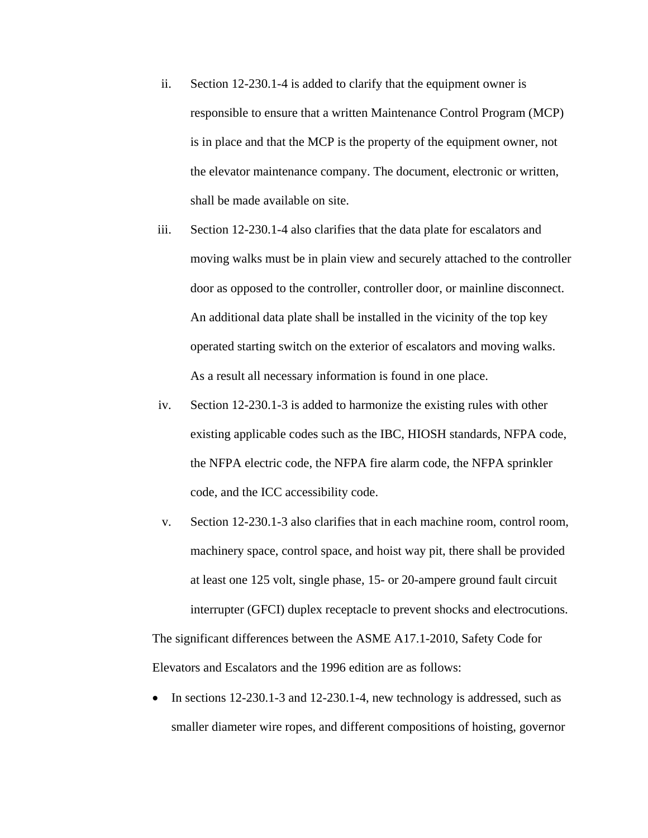- ii. Section 12-230.1-4 is added to clarify that the equipment owner is responsible to ensure that a written Maintenance Control Program (MCP) is in place and that the MCP is the property of the equipment owner, not the elevator maintenance company. The document, electronic or written, shall be made available on site.
- iii. Section 12-230.1-4 also clarifies that the data plate for escalators and moving walks must be in plain view and securely attached to the controller door as opposed to the controller, controller door, or mainline disconnect. An additional data plate shall be installed in the vicinity of the top key operated starting switch on the exterior of escalators and moving walks. As a result all necessary information is found in one place.
- iv. Section 12-230.1-3 is added to harmonize the existing rules with other existing applicable codes such as the IBC, HIOSH standards, NFPA code, the NFPA electric code, the NFPA fire alarm code, the NFPA sprinkler code, and the ICC accessibility code.
- v. Section 12-230.1-3 also clarifies that in each machine room, control room, machinery space, control space, and hoist way pit, there shall be provided at least one 125 volt, single phase, 15- or 20-ampere ground fault circuit interrupter (GFCI) duplex receptacle to prevent shocks and electrocutions. The significant differences between the ASME A17.1-2010, Safety Code for Elevators and Escalators and the 1996 edition are as follows:
- In sections 12-230.1-3 and 12-230.1-4, new technology is addressed, such as smaller diameter wire ropes, and different compositions of hoisting, governor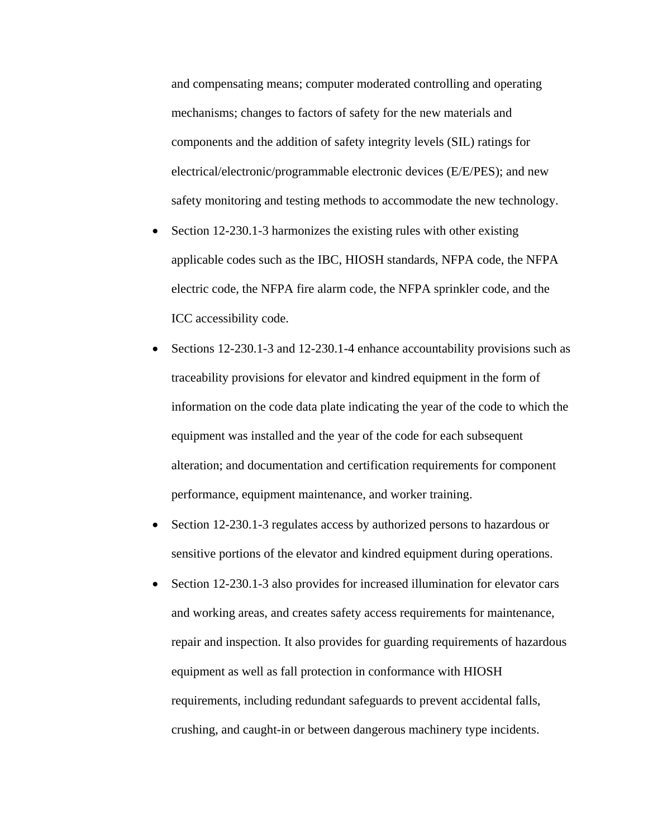and compensating means; computer moderated controlling and operating mechanisms; changes to factors of safety for the new materials and components and the addition of safety integrity levels (SIL) ratings for electrical/electronic/programmable electronic devices (E/E/PES); and new safety monitoring and testing methods to accommodate the new technology.

- Section 12-230.1-3 harmonizes the existing rules with other existing applicable codes such as the IBC, HIOSH standards, NFPA code, the NFPA electric code, the NFPA fire alarm code, the NFPA sprinkler code, and the ICC accessibility code.
- Sections 12-230.1-3 and 12-230.1-4 enhance accountability provisions such as traceability provisions for elevator and kindred equipment in the form of information on the code data plate indicating the year of the code to which the equipment was installed and the year of the code for each subsequent alteration; and documentation and certification requirements for component performance, equipment maintenance, and worker training.
- Section 12-230.1-3 regulates access by authorized persons to hazardous or sensitive portions of the elevator and kindred equipment during operations.
- Section 12-230.1-3 also provides for increased illumination for elevator cars and working areas, and creates safety access requirements for maintenance, repair and inspection. It also provides for guarding requirements of hazardous equipment as well as fall protection in conformance with HIOSH requirements, including redundant safeguards to prevent accidental falls, crushing, and caught-in or between dangerous machinery type incidents.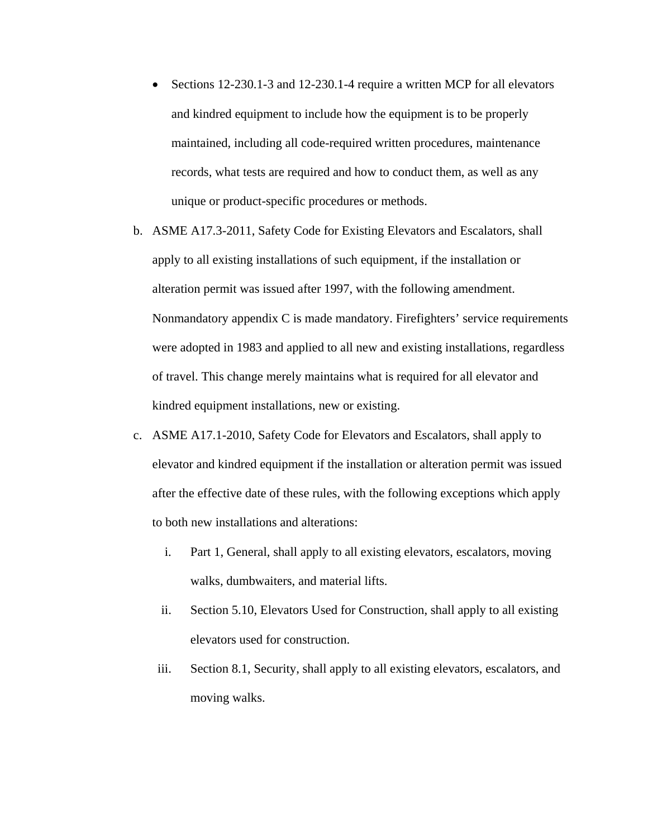- Sections 12-230.1-3 and 12-230.1-4 require a written MCP for all elevators and kindred equipment to include how the equipment is to be properly maintained, including all code-required written procedures, maintenance records, what tests are required and how to conduct them, as well as any unique or product-specific procedures or methods.
- b. ASME A17.3-2011, Safety Code for Existing Elevators and Escalators, shall apply to all existing installations of such equipment, if the installation or alteration permit was issued after 1997, with the following amendment. Nonmandatory appendix C is made mandatory. Firefighters' service requirements were adopted in 1983 and applied to all new and existing installations, regardless of travel. This change merely maintains what is required for all elevator and kindred equipment installations, new or existing.
- c. ASME A17.1-2010, Safety Code for Elevators and Escalators, shall apply to elevator and kindred equipment if the installation or alteration permit was issued after the effective date of these rules, with the following exceptions which apply to both new installations and alterations:
	- i. Part 1, General, shall apply to all existing elevators, escalators, moving walks, dumbwaiters, and material lifts.
	- ii. Section 5.10, Elevators Used for Construction, shall apply to all existing elevators used for construction.
	- iii. Section 8.1, Security, shall apply to all existing elevators, escalators, and moving walks.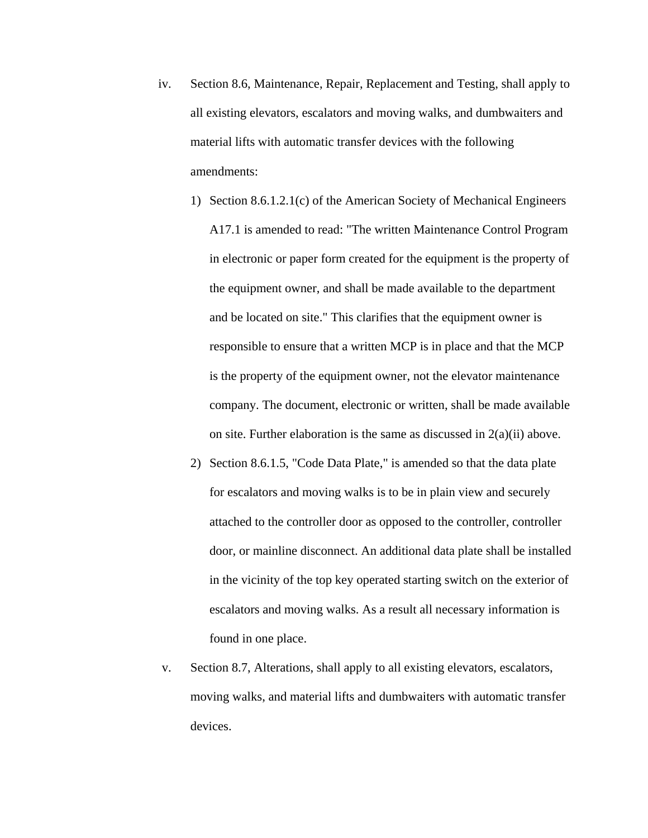- iv. Section 8.6, Maintenance, Repair, Replacement and Testing, shall apply to all existing elevators, escalators and moving walks, and dumbwaiters and material lifts with automatic transfer devices with the following amendments:
	- 1) Section 8.6.1.2.1(c) of the American Society of Mechanical Engineers A17.1 is amended to read: "The written Maintenance Control Program in electronic or paper form created for the equipment is the property of the equipment owner, and shall be made available to the department and be located on site." This clarifies that the equipment owner is responsible to ensure that a written MCP is in place and that the MCP is the property of the equipment owner, not the elevator maintenance company. The document, electronic or written, shall be made available on site. Further elaboration is the same as discussed in  $2(a)(ii)$  above.
	- 2) Section 8.6.1.5, "Code Data Plate," is amended so that the data plate for escalators and moving walks is to be in plain view and securely attached to the controller door as opposed to the controller, controller door, or mainline disconnect. An additional data plate shall be installed in the vicinity of the top key operated starting switch on the exterior of escalators and moving walks. As a result all necessary information is found in one place.
- v. Section 8.7, Alterations, shall apply to all existing elevators, escalators, moving walks, and material lifts and dumbwaiters with automatic transfer devices.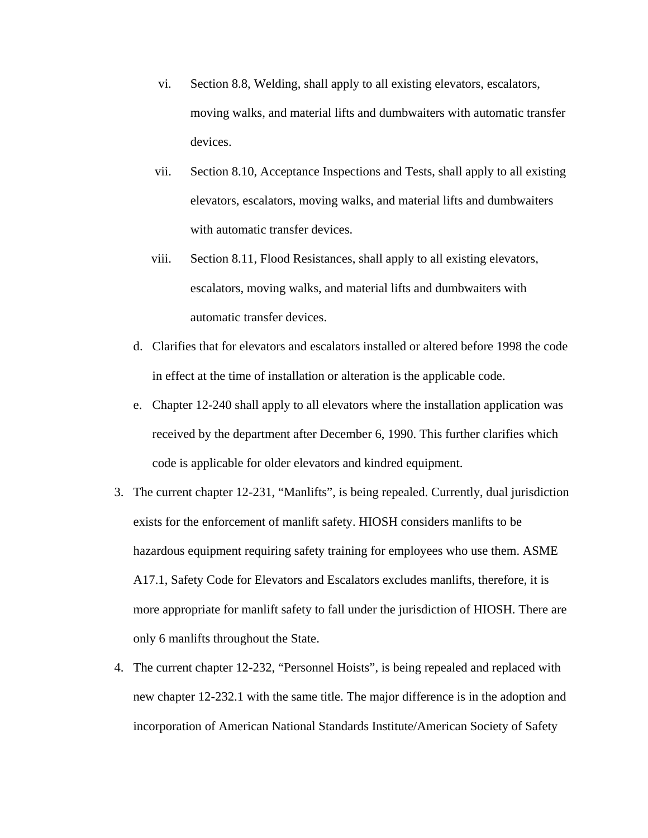- vi. Section 8.8, Welding, shall apply to all existing elevators, escalators, moving walks, and material lifts and dumbwaiters with automatic transfer devices.
- vii. Section 8.10, Acceptance Inspections and Tests, shall apply to all existing elevators, escalators, moving walks, and material lifts and dumbwaiters with automatic transfer devices.
- viii. Section 8.11, Flood Resistances, shall apply to all existing elevators, escalators, moving walks, and material lifts and dumbwaiters with automatic transfer devices.
- d. Clarifies that for elevators and escalators installed or altered before 1998 the code in effect at the time of installation or alteration is the applicable code.
- e. Chapter 12-240 shall apply to all elevators where the installation application was received by the department after December 6, 1990. This further clarifies which code is applicable for older elevators and kindred equipment.
- 3. The current chapter 12-231, "Manlifts", is being repealed. Currently, dual jurisdiction exists for the enforcement of manlift safety. HIOSH considers manlifts to be hazardous equipment requiring safety training for employees who use them. ASME A17.1, Safety Code for Elevators and Escalators excludes manlifts, therefore, it is more appropriate for manlift safety to fall under the jurisdiction of HIOSH. There are only 6 manlifts throughout the State.
- 4. The current chapter 12-232, "Personnel Hoists", is being repealed and replaced with new chapter 12-232.1 with the same title. The major difference is in the adoption and incorporation of American National Standards Institute/American Society of Safety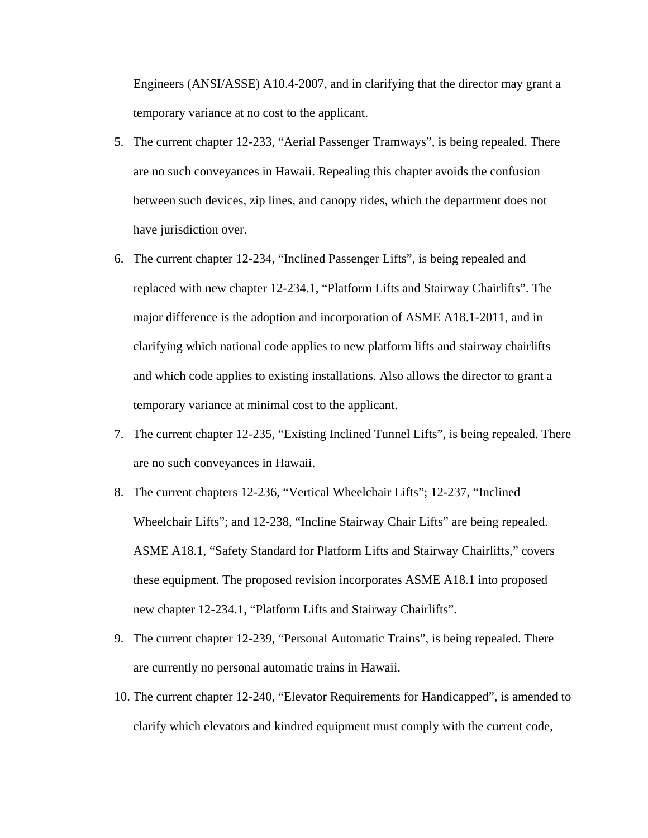Engineers (ANSI/ASSE) A10.4-2007, and in clarifying that the director may grant a temporary variance at no cost to the applicant.

- 5. The current chapter 12-233, "Aerial Passenger Tramways", is being repealed. There are no such conveyances in Hawaii. Repealing this chapter avoids the confusion between such devices, zip lines, and canopy rides, which the department does not have jurisdiction over.
- 6. The current chapter 12-234, "Inclined Passenger Lifts", is being repealed and replaced with new chapter 12-234.1, "Platform Lifts and Stairway Chairlifts". The major difference is the adoption and incorporation of ASME A18.1-2011, and in clarifying which national code applies to new platform lifts and stairway chairlifts and which code applies to existing installations. Also allows the director to grant a temporary variance at minimal cost to the applicant.
- 7. The current chapter 12-235, "Existing Inclined Tunnel Lifts", is being repealed. There are no such conveyances in Hawaii.
- 8. The current chapters 12-236, "Vertical Wheelchair Lifts"; 12-237, "Inclined Wheelchair Lifts"; and 12-238, "Incline Stairway Chair Lifts" are being repealed. ASME A18.1, "Safety Standard for Platform Lifts and Stairway Chairlifts," covers these equipment. The proposed revision incorporates ASME A18.1 into proposed new chapter 12-234.1, "Platform Lifts and Stairway Chairlifts".
- 9. The current chapter 12-239, "Personal Automatic Trains", is being repealed. There are currently no personal automatic trains in Hawaii.
- 10. The current chapter 12-240, "Elevator Requirements for Handicapped", is amended to clarify which elevators and kindred equipment must comply with the current code,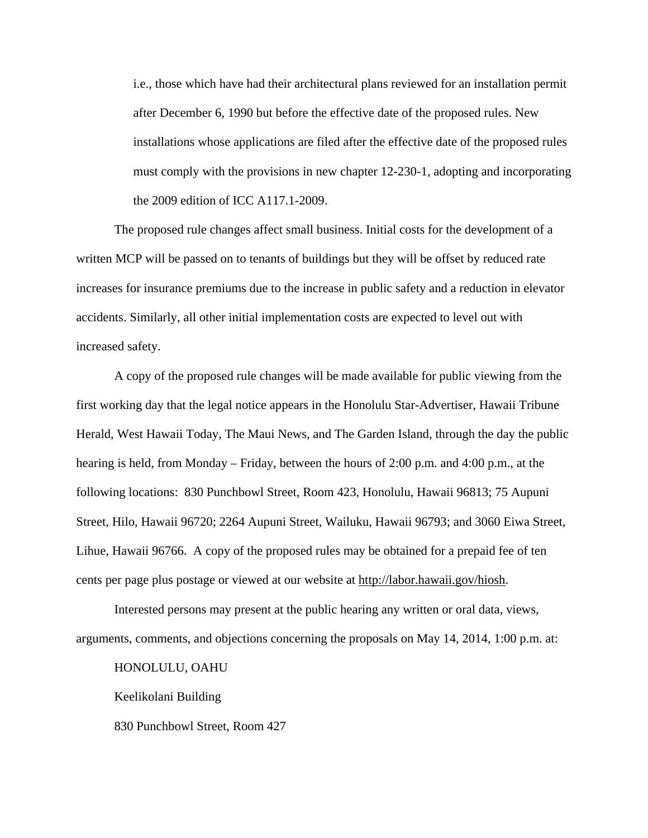i.e., those which have had their architectural plans reviewed for an installation permit after December 6, 1990 but before the effective date of the proposed rules. New installations whose applications are filed after the effective date of the proposed rules must comply with the provisions in new chapter 12-230-1, adopting and incorporating the 2009 edition of ICC A117.1-2009.

The proposed rule changes affect small business. Initial costs for the development of a written MCP will be passed on to tenants of buildings but they will be offset by reduced rate increases for insurance premiums due to the increase in public safety and a reduction in elevator accidents. Similarly, all other initial implementation costs are expected to level out with increased safety.

A copy of the proposed rule changes will be made available for public viewing from the first working day that the legal notice appears in the Honolulu Star-Advertiser, Hawaii Tribune Herald, West Hawaii Today, The Maui News, and The Garden Island, through the day the public hearing is held, from Monday – Friday, between the hours of 2:00 p.m. and 4:00 p.m., at the following locations: 830 Punchbowl Street, Room 423, Honolulu, Hawaii 96813; 75 Aupuni Street, Hilo, Hawaii 96720; 2264 Aupuni Street, Wailuku, Hawaii 96793; and 3060 Eiwa Street, Lihue, Hawaii 96766. A copy of the proposed rules may be obtained for a prepaid fee of ten cents per page plus postage or viewed at our website at http://labor.hawaii.gov/hiosh.

Interested persons may present at the public hearing any written or oral data, views, arguments, comments, and objections concerning the proposals on May 14, 2014, 1:00 p.m. at:

HONOLULU, OAHU

Keelikolani Building

830 Punchbowl Street, Room 427